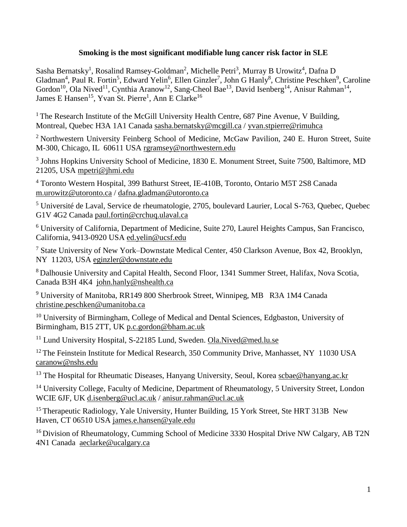# **Smoking is the most significant modifiable lung cancer risk factor in SLE**

Sasha Bernatsky<sup>1</sup>, Rosalind Ramsey-Goldman<sup>2</sup>, Michelle Petri<sup>3</sup>, Murray B Urowitz<sup>4</sup>, Dafna D Gladman<sup>4</sup>, Paul R. Fortin<sup>5</sup>, Edward Yelin<sup>6</sup>, Ellen Ginzler<sup>7</sup>, John G Hanly<sup>8</sup>, Christine Peschken<sup>9</sup>, Caroline Gordon<sup>10</sup>, Ola Nived<sup>11</sup>, Cynthia Aranow<sup>12</sup>, Sang-Cheol Bae<sup>13</sup>, David Isenberg<sup>14</sup>, Anisur Rahman<sup>14</sup>, James E Hansen<sup>15</sup>, Yvan St. Pierre<sup>1</sup>, Ann E Clarke<sup>16</sup>

<sup>1</sup> The Research Institute of the McGill University Health Centre, 687 Pine Avenue, V Building, Montreal, Quebec H3A 1A1 Canada [sasha.bernatsky@mcgill.ca](mailto:sasha.bernatsky@mcgill.ca) / [yvan.stpierre@rimuhca](mailto:yvan.stpierre@rimuhca)

<sup>2</sup> Northwestern University Feinberg School of Medicine, McGaw Pavilion, 240 E. Huron Street, Suite M-300, Chicago, IL 60611 USA [rgramsey@northwestern.edu](mailto:rgramsey@northwestern.edu)

<sup>3</sup> Johns Hopkins University School of Medicine, 1830 E. Monument Street, Suite 7500, Baltimore, MD 21205, USA [mpetri@jhmi.edu](mailto:mpetri@jhmi.edu)

<sup>4</sup> Toronto Western Hospital, 399 Bathurst Street, IE-410B, Toronto, Ontario M5T 2S8 Canada [m.urowitz@utoronto.ca](mailto:m.urowitz@utoronto.ca) / [dafna.gladman@utoronto.ca](mailto:dafna.gladman@utoronto.ca)

<sup>5</sup> Université de Laval, Service de rheumatologie, 2705, boulevard Laurier, Local S-763, Quebec, Quebec G1V 4G2 Canada [paul.fortin@crchuq.ulaval.ca](mailto:paul.fortin@crchuq.ulaval.ca)

<sup>6</sup> University of California, Department of Medicine, Suite 270, Laurel Heights Campus, San Francisco, California, 9413-0920 USA [ed.yelin@ucsf.edu](mailto:ed.yelin@ucsf.edu)

<sup>7</sup> State University of New York–Downstate Medical Center, 450 Clarkson Avenue, Box 42, Brooklyn, NY 11203, USA [eginzler@downstate.edu](mailto:eginzler@downstate.edu)

<sup>8</sup> Dalhousie University and Capital Health, Second Floor, 1341 Summer Street, Halifax, Nova Scotia, Canada B3H 4K4 [john.hanly@nshealth.ca](mailto:john.hanly@nshealth.ca)

<sup>9</sup> University of Manitoba, RR149 800 Sherbrook Street, Winnipeg, MB R3A 1M4 Canada [christine.peschken@umanitoba.ca](mailto:christine.peschken@umanitoba.ca)

<sup>10</sup> University of Birmingham, College of Medical and Dental Sciences, Edgbaston, University of Birmingham, B15 2TT, UK [p.c.gordon@bham.ac.uk](mailto:p.c.Gordon@bham.ac.uk)

<sup>11</sup> Lund University Hospital, S-22185 Lund, Sweden. [Ola.Nived@med.lu.se](mailto:Ola.Nived@med.lu.se)

<sup>12</sup> The Feinstein Institute for Medical Research, 350 Community Drive, Manhasset, NY 11030 USA [caranow@nshs.edu](mailto:caranow@nshs.edu)

<sup>13</sup> The Hospital for Rheumatic Diseases, Hanyang University, Seoul, Korea [scbae@hanyang.ac.kr](mailto:scbae@hanyang.ac.kr)

<sup>14</sup> University College, Faculty of Medicine, Department of Rheumatology, 5 University Street, London WCIE 6JF, UK [d.isenberg@ucl.ac.uk](mailto:d.Isenberg@ucl.ac.uk) / [anisur.rahman@ucl.ac.uk](mailto:anisur.rahman@ucl.ac.uk)

<sup>15</sup> Therapeutic Radiology, Yale University, Hunter Building, 15 York Street, Ste HRT 313B New Haven, CT 06510 USA [james.e.hansen@yale.edu](mailto:james.e.hansen@yale.edu)

<sup>16</sup> Division of Rheumatology, Cumming School of Medicine 3330 Hospital Drive NW Calgary, AB T2N 4N1 Canada [aeclarke@ucalgary.ca](mailto:aeclarke@ucalgary.ca)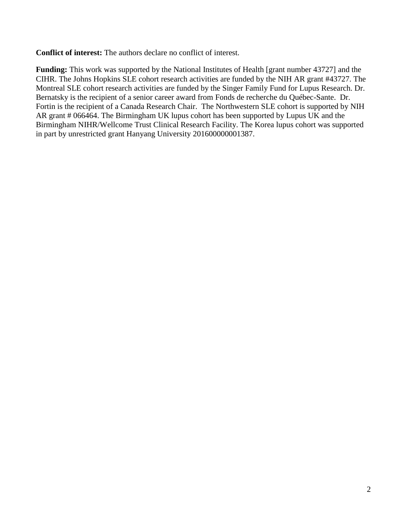**Conflict of interest:** The authors declare no conflict of interest.

**Funding:** This work was supported by the National Institutes of Health [grant number 43727] and the CIHR. The Johns Hopkins SLE cohort research activities are funded by the NIH AR grant #43727. The Montreal SLE cohort research activities are funded by the Singer Family Fund for Lupus Research. Dr. Bernatsky is the recipient of a senior career award from Fonds de recherche du Québec-Sante. Dr. Fortin is the recipient of a Canada Research Chair. The Northwestern SLE cohort is supported by NIH AR grant # 066464. The Birmingham UK lupus cohort has been supported by Lupus UK and the Birmingham NIHR/Wellcome Trust Clinical Research Facility. The Korea lupus cohort was supported in part by unrestricted grant Hanyang University 201600000001387.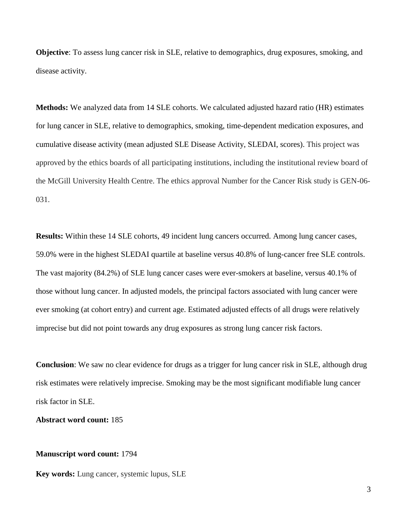**Objective**: To assess lung cancer risk in SLE, relative to demographics, drug exposures, smoking, and disease activity.

**Methods:** We analyzed data from 14 SLE cohorts. We calculated adjusted hazard ratio (HR) estimates for lung cancer in SLE, relative to demographics, smoking, time-dependent medication exposures, and cumulative disease activity (mean adjusted SLE Disease Activity, SLEDAI, scores). This project was approved by the ethics boards of all participating institutions, including the institutional review board of the McGill University Health Centre. The ethics approval Number for the Cancer Risk study is GEN-06- 031.

**Results:** Within these 14 SLE cohorts, 49 incident lung cancers occurred. Among lung cancer cases, 59.0% were in the highest SLEDAI quartile at baseline versus 40.8% of lung-cancer free SLE controls. The vast majority (84.2%) of SLE lung cancer cases were ever-smokers at baseline, versus 40.1% of those without lung cancer. In adjusted models, the principal factors associated with lung cancer were ever smoking (at cohort entry) and current age. Estimated adjusted effects of all drugs were relatively imprecise but did not point towards any drug exposures as strong lung cancer risk factors.

**Conclusion**: We saw no clear evidence for drugs as a trigger for lung cancer risk in SLE, although drug risk estimates were relatively imprecise. Smoking may be the most significant modifiable lung cancer risk factor in SLE.

**Abstract word count:** 185

## **Manuscript word count:** 1794

**Key words:** Lung cancer, systemic lupus, SLE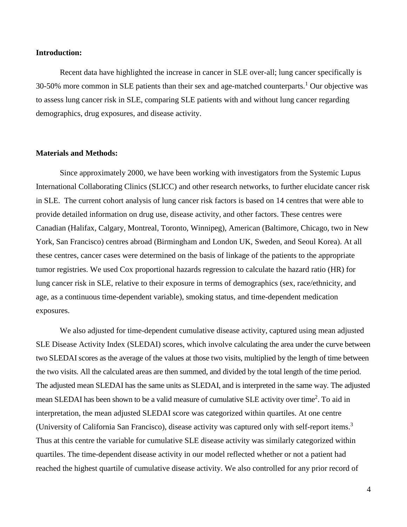### **Introduction:**

Recent data have highlighted the increase in cancer in SLE over-all; lung cancer specifically is 30-50% more common in SLE patients than their sex and age-matched counterparts.<sup>1</sup> Our objective was to assess lung cancer risk in SLE, comparing SLE patients with and without lung cancer regarding demographics, drug exposures, and disease activity.

## **Materials and Methods:**

Since approximately 2000, we have been working with investigators from the Systemic Lupus International Collaborating Clinics (SLICC) and other research networks, to further elucidate cancer risk in SLE. The current cohort analysis of lung cancer risk factors is based on 14 centres that were able to provide detailed information on drug use, disease activity, and other factors. These centres were Canadian (Halifax, Calgary, Montreal, Toronto, Winnipeg), American (Baltimore, Chicago, two in New York, San Francisco) centres abroad (Birmingham and London UK, Sweden, and Seoul Korea). At all these centres, cancer cases were determined on the basis of linkage of the patients to the appropriate tumor registries. We used Cox proportional hazards regression to calculate the hazard ratio (HR) for lung cancer risk in SLE, relative to their exposure in terms of demographics (sex, race/ethnicity, and age, as a continuous time-dependent variable), smoking status, and time-dependent medication exposures.

We also adjusted for time-dependent cumulative disease activity, captured using mean adjusted SLE Disease Activity Index (SLEDAI) scores, which involve calculating the area under the curve between two SLEDAI scores as the average of the values at those two visits, multiplied by the length of time between the two visits. All the calculated areas are then summed, and divided by the total length of the time period. The adjusted mean SLEDAI has the same units as SLEDAI, and is interpreted in the same way. The adjusted mean SLEDAI has been shown to be a valid measure of cumulative SLE activity over time<sup>2</sup>. To aid in interpretation, the mean adjusted SLEDAI score was categorized within quartiles. At one centre (University of California San Francisco), disease activity was captured only with self-report items.<sup>3</sup> Thus at this centre the variable for cumulative SLE disease activity was similarly categorized within quartiles. The time-dependent disease activity in our model reflected whether or not a patient had reached the highest quartile of cumulative disease activity. We also controlled for any prior record of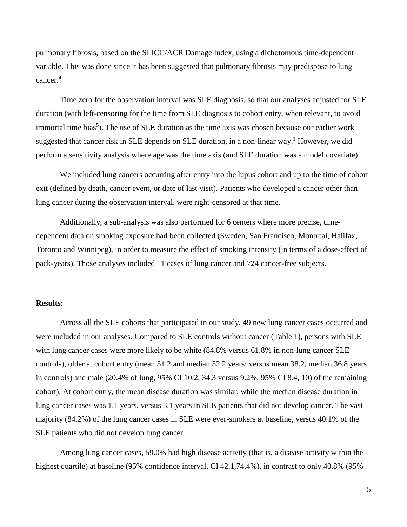pulmonary fibrosis, based on the SLICC/ACR Damage Index, using a dichotomous time-dependent variable. This was done since it has been suggested that pulmonary fibrosis may predispose to lung cancer.<sup>4</sup>

Time zero for the observation interval was SLE diagnosis, so that our analyses adjusted for SLE duration (with left-censoring for the time from SLE diagnosis to cohort entry, when relevant, to avoid immortal time bias<sup>5</sup>). The use of SLE duration as the time axis was chosen because our earlier work suggested that cancer risk in SLE depends on SLE duration, in a non-linear way.<sup>1</sup> However, we did perform a sensitivity analysis where age was the time axis (and SLE duration was a model covariate).

We included lung cancers occurring after entry into the lupus cohort and up to the time of cohort exit (defined by death, cancer event, or date of last visit). Patients who developed a cancer other than lung cancer during the observation interval, were right-censored at that time.

Additionally, a sub-analysis was also performed for 6 centers where more precise, timedependent data on smoking exposure had been collected (Sweden, San Francisco, Montreal, Halifax, Toronto and Winnipeg), in order to measure the effect of smoking intensity (in terms of a dose-effect of pack-years). Those analyses included 11 cases of lung cancer and 724 cancer-free subjects.

#### **Results:**

Across all the SLE cohorts that participated in our study, 49 new lung cancer cases occurred and were included in our analyses. Compared to SLE controls without cancer (Table 1), persons with SLE with lung cancer cases were more likely to be white (84.8% versus 61.8% in non-lung cancer SLE controls), older at cohort entry (mean 51.2 and median 52.2 years; versus mean 38.2, median 36.8 years in controls) and male (20.4% of lung, 95% CI 10.2, 34.3 versus 9.2%, 95% CI 8.4, 10) of the remaining cohort). At cohort entry, the mean disease duration was similar, while the median disease duration in lung cancer cases was 1.1 years, versus 3.1 years in SLE patients that did not develop cancer. The vast majority (84.2%) of the lung cancer cases in SLE were ever-smokers at baseline, versus 40.1% of the SLE patients who did not develop lung cancer.

Among lung cancer cases, 59.0% had high disease activity (that is, a disease activity within the highest quartile) at baseline (95% confidence interval, CI 42.1,74.4%), in contrast to only 40.8% (95%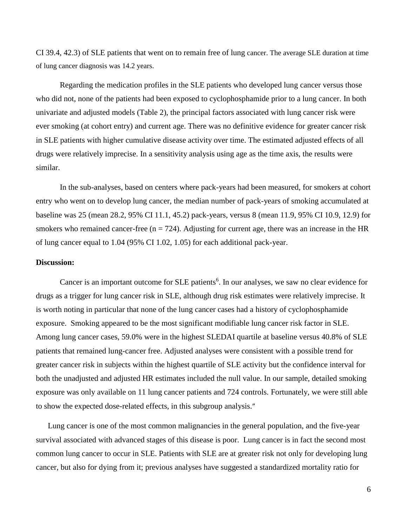CI 39.4, 42.3) of SLE patients that went on to remain free of lung cancer. The average SLE duration at time of lung cancer diagnosis was 14.2 years.

Regarding the medication profiles in the SLE patients who developed lung cancer versus those who did not, none of the patients had been exposed to cyclophosphamide prior to a lung cancer. In both univariate and adjusted models (Table 2), the principal factors associated with lung cancer risk were ever smoking (at cohort entry) and current age. There was no definitive evidence for greater cancer risk in SLE patients with higher cumulative disease activity over time. The estimated adjusted effects of all drugs were relatively imprecise. In a sensitivity analysis using age as the time axis, the results were similar.

In the sub-analyses, based on centers where pack-years had been measured, for smokers at cohort entry who went on to develop lung cancer, the median number of pack-years of smoking accumulated at baseline was 25 (mean 28.2, 95% CI 11.1, 45.2) pack-years, versus 8 (mean 11.9, 95% CI 10.9, 12.9) for smokers who remained cancer-free ( $n = 724$ ). Adjusting for current age, there was an increase in the HR of lung cancer equal to 1.04 (95% CI 1.02, 1.05) for each additional pack-year.

#### **Discussion:**

Cancer is an important outcome for SLE patients<sup>6</sup>. In our analyses, we saw no clear evidence for drugs as a trigger for lung cancer risk in SLE, although drug risk estimates were relatively imprecise. It is worth noting in particular that none of the lung cancer cases had a history of cyclophosphamide exposure. Smoking appeared to be the most significant modifiable lung cancer risk factor in SLE. Among lung cancer cases, 59.0% were in the highest SLEDAI quartile at baseline versus 40.8% of SLE patients that remained lung-cancer free. Adjusted analyses were consistent with a possible trend for greater cancer risk in subjects within the highest quartile of SLE activity but the confidence interval for both the unadjusted and adjusted HR estimates included the null value. In our sample, detailed smoking exposure was only available on 11 lung cancer patients and 724 controls. Fortunately, we were still able to show the expected dose-related effects, in this subgroup analysis."

Lung cancer is one of the most common malignancies in the general population, and the five-year survival associated with advanced stages of this disease is poor. Lung cancer is in fact the second most common lung cancer to occur in SLE. Patients with SLE are at greater risk not only for developing lung cancer, but also for dying from it; previous analyses have suggested a standardized mortality ratio for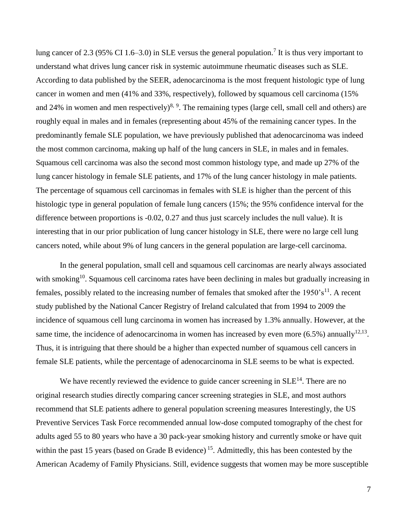lung cancer of 2.3 (95% CI 1.6–3.0) in SLE versus the general population.<sup>7</sup> It is thus very important to understand what drives lung cancer risk in systemic autoimmune rheumatic diseases such as SLE. According to data published by the SEER, adenocarcinoma is the most frequent histologic type of lung cancer in women and men (41% and 33%, respectively), followed by squamous cell carcinoma (15% and 24% in women and men respectively)<sup>8, 9</sup>. The remaining types (large cell, small cell and others) are roughly equal in males and in females (representing about 45% of the remaining cancer types. In the predominantly female SLE population, we have previously published that adenocarcinoma was indeed the most common carcinoma, making up half of the lung cancers in SLE, in males and in females. Squamous cell carcinoma was also the second most common histology type, and made up 27% of the lung cancer histology in female SLE patients, and 17% of the lung cancer histology in male patients. The percentage of squamous cell carcinomas in females with SLE is higher than the percent of this histologic type in general population of female lung cancers (15%; the 95% confidence interval for the difference between proportions is -0.02, 0.27 and thus just scarcely includes the null value). It is interesting that in our prior publication of lung cancer histology in SLE, there were no large cell lung cancers noted, while about 9% of lung cancers in the general population are large-cell carcinoma.

In the general population, small cell and squamous cell carcinomas are nearly always associated with smoking<sup>10</sup>. Squamous cell carcinoma rates have been declining in males but gradually increasing in females, possibly related to the increasing number of females that smoked after the  $1950 \text{ s}^{11}$ . A recent study published by the National Cancer Registry of Ireland calculated that from 1994 to 2009 the incidence of squamous cell lung carcinoma in women has increased by 1.3% annually. However, at the same time, the incidence of adenocarcinoma in women has increased by even more  $(6.5\%)$  annually<sup>12,13</sup>. Thus, it is intriguing that there should be a higher than expected number of squamous cell cancers in female SLE patients, while the percentage of adenocarcinoma in SLE seems to be what is expected.

We have recently reviewed the evidence to guide cancer screening in  $SLE<sup>14</sup>$ . There are no original research studies directly comparing cancer screening strategies in SLE, and most authors recommend that SLE patients adhere to general population screening measures Interestingly, the US Preventive Services Task Force recommended annual low-dose computed tomography of the chest for adults aged 55 to 80 years who have a 30 pack-year smoking history and currently smoke or have quit within the past 15 years (based on Grade B evidence)<sup>15</sup>. Admittedly, this has been contested by the American Academy of Family Physicians. Still, evidence suggests that women may be more susceptible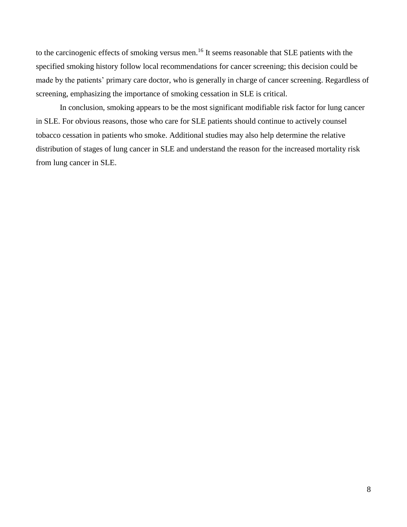to the carcinogenic effects of smoking versus men.<sup>16</sup> It seems reasonable that SLE patients with the specified smoking history follow local recommendations for cancer screening; this decision could be made by the patients' primary care doctor, who is generally in charge of cancer screening. Regardless of screening, emphasizing the importance of smoking cessation in SLE is critical.

In conclusion, smoking appears to be the most significant modifiable risk factor for lung cancer in SLE. For obvious reasons, those who care for SLE patients should continue to actively counsel tobacco cessation in patients who smoke. Additional studies may also help determine the relative distribution of stages of lung cancer in SLE and understand the reason for the increased mortality risk from lung cancer in SLE.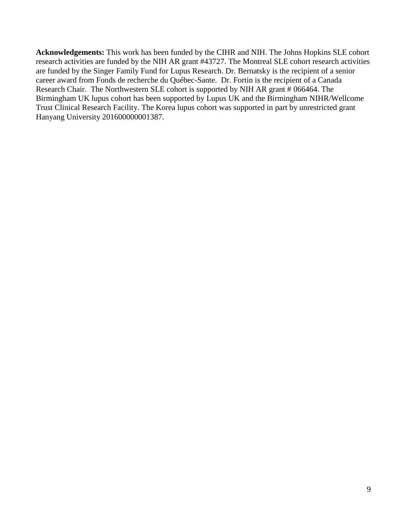**Acknowledgements:** This work has been funded by the CIHR and NIH. The Johns Hopkins SLE cohort research activities are funded by the NIH AR grant #43727. The Montreal SLE cohort research activities are funded by the Singer Family Fund for Lupus Research. Dr. Bernatsky is the recipient of a senior career award from Fonds de recherche du Québec-Sante. Dr. Fortin is the recipient of a Canada Research Chair. The Northwestern SLE cohort is supported by NIH AR grant # 066464. The Birmingham UK lupus cohort has been supported by Lupus UK and the Birmingham NIHR/Wellcome Trust Clinical Research Facility. The Korea lupus cohort was supported in part by unrestricted grant Hanyang University 201600000001387.